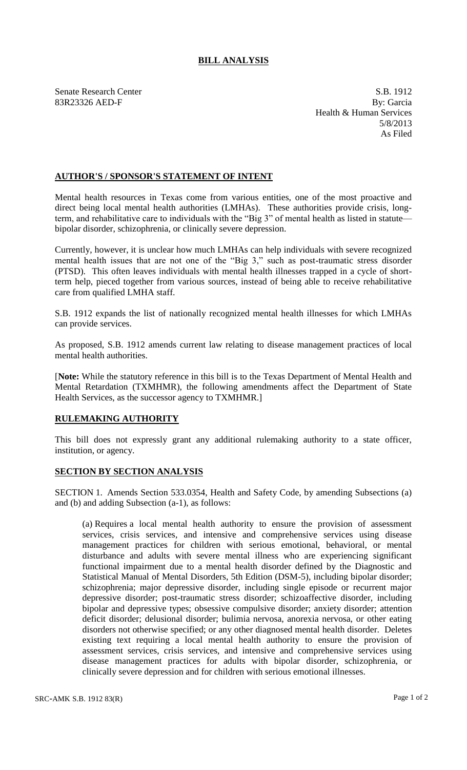## **BILL ANALYSIS**

Senate Research Center S.B. 1912 83R23326 AED-F By: Garcia Health & Human Services 5/8/2013 As Filed

## **AUTHOR'S / SPONSOR'S STATEMENT OF INTENT**

Mental health resources in Texas come from various entities, one of the most proactive and direct being local mental health authorities (LMHAs). These authorities provide crisis, longterm, and rehabilitative care to individuals with the "Big 3" of mental health as listed in statute bipolar disorder, schizophrenia, or clinically severe depression.

Currently, however, it is unclear how much LMHAs can help individuals with severe recognized mental health issues that are not one of the "Big 3," such as post-traumatic stress disorder (PTSD). This often leaves individuals with mental health illnesses trapped in a cycle of shortterm help, pieced together from various sources, instead of being able to receive rehabilitative care from qualified LMHA staff.

S.B. 1912 expands the list of nationally recognized mental health illnesses for which LMHAs can provide services.

As proposed, S.B. 1912 amends current law relating to disease management practices of local mental health authorities.

[**Note:** While the statutory reference in this bill is to the Texas Department of Mental Health and Mental Retardation (TXMHMR), the following amendments affect the Department of State Health Services, as the successor agency to TXMHMR.]

## **RULEMAKING AUTHORITY**

This bill does not expressly grant any additional rulemaking authority to a state officer, institution, or agency.

## **SECTION BY SECTION ANALYSIS**

SECTION 1. Amends Section 533.0354, Health and Safety Code, by amending Subsections (a) and (b) and adding Subsection (a-1), as follows:

(a) Requires a local mental health authority to ensure the provision of assessment services, crisis services, and intensive and comprehensive services using disease management practices for children with serious emotional, behavioral, or mental disturbance and adults with severe mental illness who are experiencing significant functional impairment due to a mental health disorder defined by the Diagnostic and Statistical Manual of Mental Disorders, 5th Edition (DSM-5), including bipolar disorder; schizophrenia; major depressive disorder, including single episode or recurrent major depressive disorder; post-traumatic stress disorder; schizoaffective disorder, including bipolar and depressive types; obsessive compulsive disorder; anxiety disorder; attention deficit disorder; delusional disorder; bulimia nervosa, anorexia nervosa, or other eating disorders not otherwise specified; or any other diagnosed mental health disorder. Deletes existing text requiring a local mental health authority to ensure the provision of assessment services, crisis services, and intensive and comprehensive services using disease management practices for adults with bipolar disorder, schizophrenia, or clinically severe depression and for children with serious emotional illnesses.